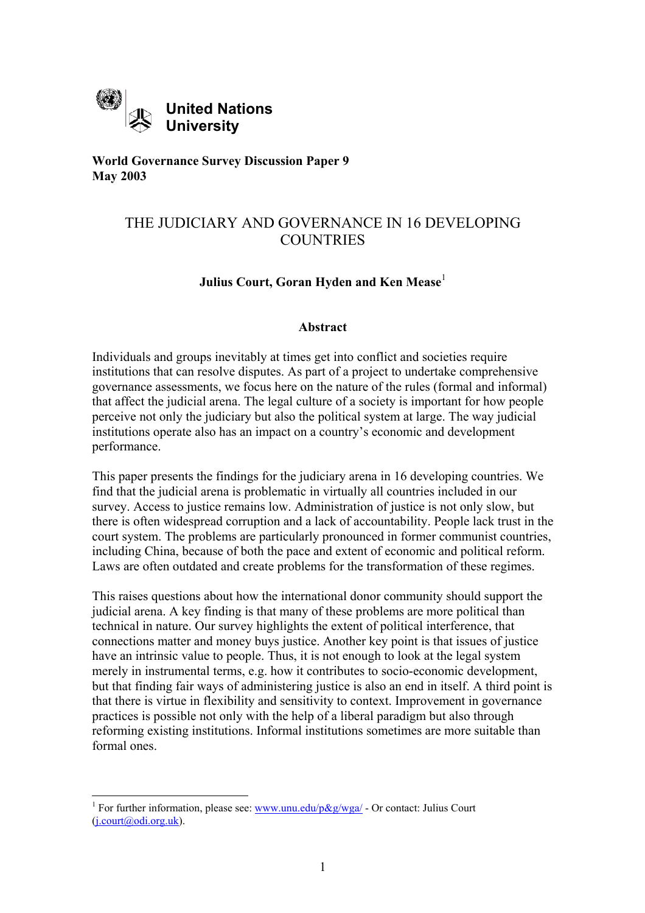

**World Governance Survey Discussion Paper 9 May 2003**

# THE JUDICIARY AND GOVERNANCE IN 16 DEVELOPING **COUNTRIES**

# **Julius Court, Goran Hyden and Ken Mease**<sup>[1](#page-0-0)</sup>

## **Abstract**

Individuals and groups inevitably at times get into conflict and societies require institutions that can resolve disputes. As part of a project to undertake comprehensive governance assessments, we focus here on the nature of the rules (formal and informal) that affect the judicial arena. The legal culture of a society is important for how people perceive not only the judiciary but also the political system at large. The way judicial institutions operate also has an impact on a country's economic and development performance.

This paper presents the findings for the judiciary arena in 16 developing countries. We find that the judicial arena is problematic in virtually all countries included in our survey. Access to justice remains low. Administration of justice is not only slow, but there is often widespread corruption and a lack of accountability. People lack trust in the court system. The problems are particularly pronounced in former communist countries, including China, because of both the pace and extent of economic and political reform. Laws are often outdated and create problems for the transformation of these regimes.

This raises questions about how the international donor community should support the judicial arena. A key finding is that many of these problems are more political than technical in nature. Our survey highlights the extent of political interference, that connections matter and money buys justice. Another key point is that issues of justice have an intrinsic value to people. Thus, it is not enough to look at the legal system merely in instrumental terms, e.g. how it contributes to socio-economic development, but that finding fair ways of administering justice is also an end in itself. A third point is that there is virtue in flexibility and sensitivity to context. Improvement in governance practices is possible not only with the help of a liberal paradigm but also through reforming existing institutions. Informal institutions sometimes are more suitable than formal ones.

<span id="page-0-0"></span><sup>&</sup>lt;sup>1</sup> For further information, please see:  $\frac{www.unu.edu/p\&g/wga/}{}$  - Or contact: Julius Court  $(i.court@odi.org.uk)$ .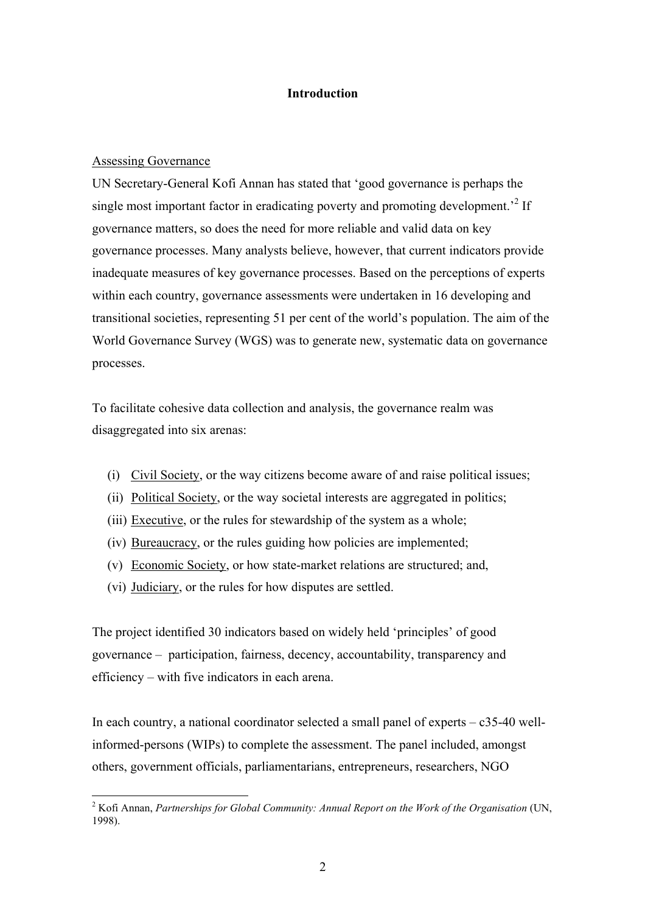# **Introduction**

### Assessing Governance

UN Secretary-General Kofi Annan has stated that 'good governance is perhaps the single most important factor in eradicating poverty and promoting development.<sup> $2$ </sup> If governance matters, so does the need for more reliable and valid data on key governance processes. Many analysts believe, however, that current indicators provide inadequate measures of key governance processes. Based on the perceptions of experts within each country, governance assessments were undertaken in 16 developing and transitional societies, representing 51 per cent of the world's population. The aim of the World Governance Survey (WGS) was to generate new, systematic data on governance processes.

To facilitate cohesive data collection and analysis, the governance realm was disaggregated into six arenas:

- (i) Civil Society, or the way citizens become aware of and raise political issues;
- (ii) Political Society, or the way societal interests are aggregated in politics;
- (iii) Executive, or the rules for stewardship of the system as a whole;
- (iv) Bureaucracy, or the rules guiding how policies are implemented;
- (v) Economic Society, or how state-market relations are structured; and,
- (vi) Judiciary, or the rules for how disputes are settled.

The project identified 30 indicators based on widely held 'principles' of good governance – participation, fairness, decency, accountability, transparency and efficiency – with five indicators in each arena.

In each country, a national coordinator selected a small panel of experts  $- c35-40$  wellinformed-persons (WIPs) to complete the assessment. The panel included, amongst others, government officials, parliamentarians, entrepreneurs, researchers, NGO

<span id="page-1-0"></span> 2 Kofi Annan, *Partnerships for Global Community: Annual Report on the Work of the Organisation* (UN, 1998).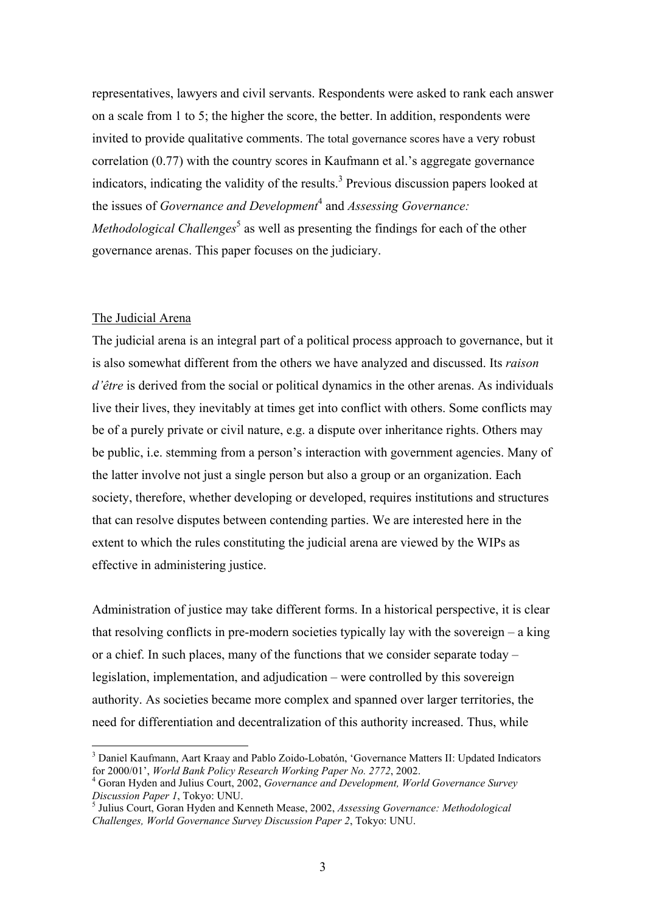representatives, lawyers and civil servants. Respondents were asked to rank each answer on a scale from 1 to 5; the higher the score, the better. In addition, respondents were invited to provide qualitative comments. The total governance scores have a very robust correlation (0.77) with the country scores in Kaufmann et al.'s aggregate governance indicators, indicating the validity of the results.<sup>3</sup> Previous discussion papers looked at the issues of *Governance and Development*[4](#page-2-1) and *Assessing Governance: Methodological Challenges*<sup>[5](#page-2-2)</sup> as well as presenting the findings for each of the other governance arenas. This paper focuses on the judiciary.

## The Judicial Arena

 $\overline{a}$ 

The judicial arena is an integral part of a political process approach to governance, but it is also somewhat different from the others we have analyzed and discussed. Its *raison d'être* is derived from the social or political dynamics in the other arenas. As individuals live their lives, they inevitably at times get into conflict with others. Some conflicts may be of a purely private or civil nature, e.g. a dispute over inheritance rights. Others may be public, i.e. stemming from a person's interaction with government agencies. Many of the latter involve not just a single person but also a group or an organization. Each society, therefore, whether developing or developed, requires institutions and structures that can resolve disputes between contending parties. We are interested here in the extent to which the rules constituting the judicial arena are viewed by the WIPs as effective in administering justice.

Administration of justice may take different forms. In a historical perspective, it is clear that resolving conflicts in pre-modern societies typically lay with the sovereign – a king or a chief. In such places, many of the functions that we consider separate today – legislation, implementation, and adjudication – were controlled by this sovereign authority. As societies became more complex and spanned over larger territories, the need for differentiation and decentralization of this authority increased. Thus, while

<span id="page-2-0"></span><sup>&</sup>lt;sup>3</sup> Daniel Kaufmann, Aart Kraay and Pablo Zoido-Lobatón, 'Governance Matters II: Updated Indicators for 2000/01', *World Bank Policy Research Working Paper No. 2772*, 2002. 4

<span id="page-2-1"></span>Goran Hyden and Julius Court, 2002, *Governance and Development, World Governance Survey Discussion Paper 1*, Tokyo: UNU. 5

<span id="page-2-2"></span><sup>&</sup>lt;sup>5</sup> Julius Court, Goran Hyden and Kenneth Mease, 2002, *Assessing Governance: Methodological Challenges, World Governance Survey Discussion Paper 2*, Tokyo: UNU.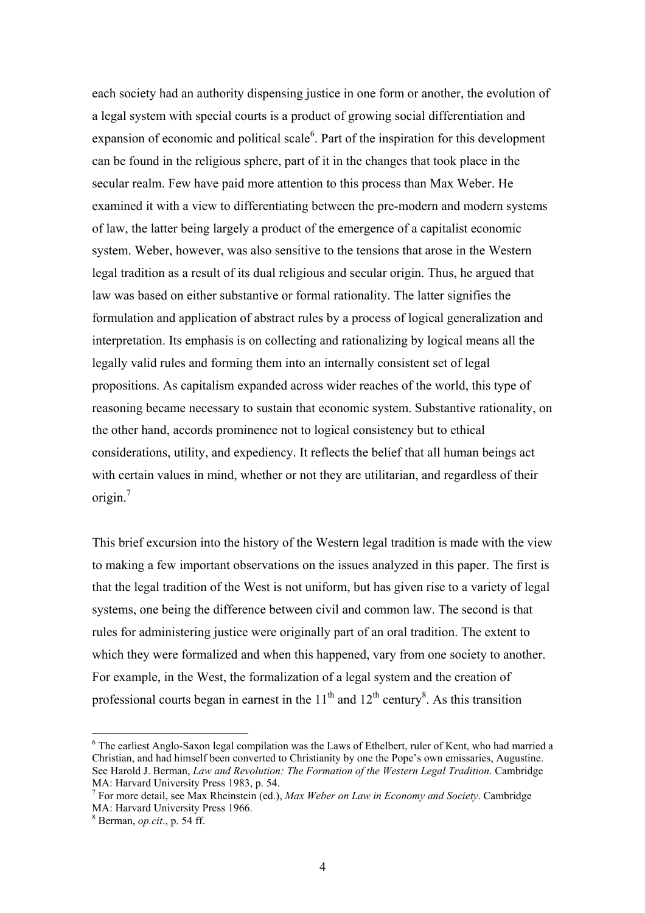each society had an authority dispensing justice in one form or another, the evolution of a legal system with special courts is a product of growing social differentiation and expansion of economic and political scale $<sup>6</sup>$  $<sup>6</sup>$  $<sup>6</sup>$ . Part of the inspiration for this development</sup> can be found in the religious sphere, part of it in the changes that took place in the secular realm. Few have paid more attention to this process than Max Weber. He examined it with a view to differentiating between the pre-modern and modern systems of law, the latter being largely a product of the emergence of a capitalist economic system. Weber, however, was also sensitive to the tensions that arose in the Western legal tradition as a result of its dual religious and secular origin. Thus, he argued that law was based on either substantive or formal rationality. The latter signifies the formulation and application of abstract rules by a process of logical generalization and interpretation. Its emphasis is on collecting and rationalizing by logical means all the legally valid rules and forming them into an internally consistent set of legal propositions. As capitalism expanded across wider reaches of the world, this type of reasoning became necessary to sustain that economic system. Substantive rationality, on the other hand, accords prominence not to logical consistency but to ethical considerations, utility, and expediency. It reflects the belief that all human beings act with certain values in mind, whether or not they are utilitarian, and regardless of their origin. $<sup>7</sup>$ </sup>

This brief excursion into the history of the Western legal tradition is made with the view to making a few important observations on the issues analyzed in this paper. The first is that the legal tradition of the West is not uniform, but has given rise to a variety of legal systems, one being the difference between civil and common law. The second is that rules for administering justice were originally part of an oral tradition. The extent to which they were formalized and when this happened, vary from one society to another. For example, in the West, the formalization of a legal system and the creation of professional courts began in earnest in the  $11<sup>th</sup>$  and  $12<sup>th</sup>$  century<sup>8</sup>. As this transition

<span id="page-3-0"></span><sup>&</sup>lt;sup>6</sup> The earliest Anglo-Saxon legal compilation was the Laws of Ethelbert, ruler of Kent, who had married a Christian, and had himself been converted to Christianity by one the Pope's own emissaries, Augustine. See Harold J. Berman, *Law and Revolution: The Formation of the Western Legal Tradition*. Cambridge MA: Harvard University Press 1983, p. 54.

<span id="page-3-1"></span>For more detail, see Max Rheinstein (ed.), *Max Weber on Law in Economy and Society*. Cambridge MA: Harvard University Press 1966.

<span id="page-3-2"></span>Berman, *op.cit*., p. 54 ff.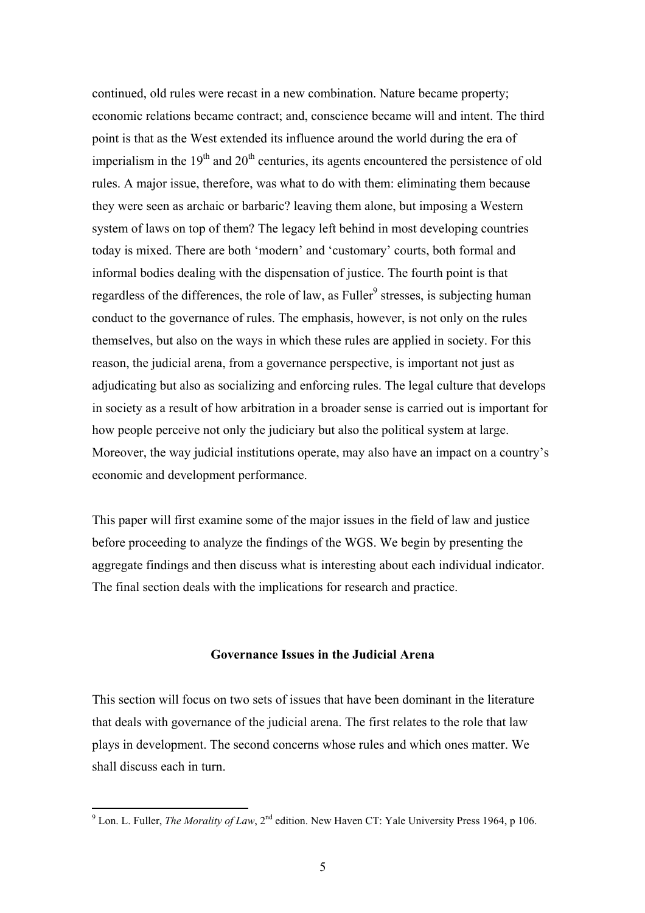continued, old rules were recast in a new combination. Nature became property; economic relations became contract; and, conscience became will and intent. The third point is that as the West extended its influence around the world during the era of imperialism in the  $19<sup>th</sup>$  and  $20<sup>th</sup>$  centuries, its agents encountered the persistence of old rules. A major issue, therefore, was what to do with them: eliminating them because they were seen as archaic or barbaric? leaving them alone, but imposing a Western system of laws on top of them? The legacy left behind in most developing countries today is mixed. There are both 'modern' and 'customary' courts, both formal and informal bodies dealing with the dispensation of justice. The fourth point is that regardless of the differences, the role of law, as Fuller<sup>9</sup> stresses, is subjecting human conduct to the governance of rules. The emphasis, however, is not only on the rules themselves, but also on the ways in which these rules are applied in society. For this reason, the judicial arena, from a governance perspective, is important not just as adjudicating but also as socializing and enforcing rules. The legal culture that develops in society as a result of how arbitration in a broader sense is carried out is important for how people perceive not only the judiciary but also the political system at large. Moreover, the way judicial institutions operate, may also have an impact on a country's economic and development performance.

This paper will first examine some of the major issues in the field of law and justice before proceeding to analyze the findings of the WGS. We begin by presenting the aggregate findings and then discuss what is interesting about each individual indicator. The final section deals with the implications for research and practice.

## **Governance Issues in the Judicial Arena**

This section will focus on two sets of issues that have been dominant in the literature that deals with governance of the judicial arena. The first relates to the role that law plays in development. The second concerns whose rules and which ones matter. We shall discuss each in turn.

<span id="page-4-0"></span><sup>&</sup>lt;sup>9</sup> Lon. L. Fuller, *The Morality of Law*, 2<sup>nd</sup> edition. New Haven CT: Yale University Press 1964, p 106.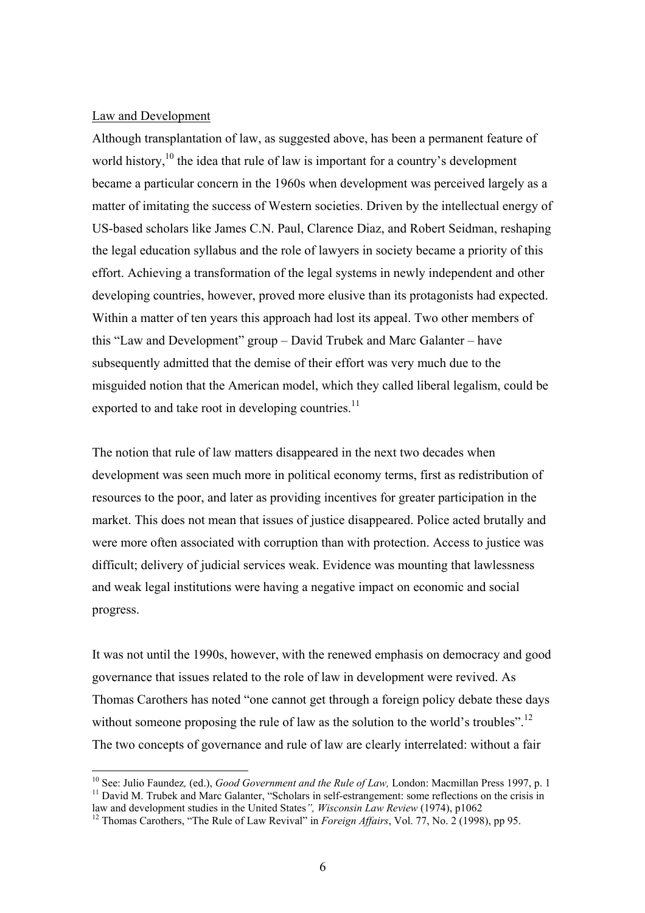#### Law and Development

Although transplantation of law, as suggested above, has been a permanent feature of world history,  $10$  the idea that rule of law is important for a country's development became a particular concern in the 1960s when development was perceived largely as a matter of imitating the success of Western societies. Driven by the intellectual energy of US-based scholars like James C.N. Paul, Clarence Diaz, and Robert Seidman, reshaping the legal education syllabus and the role of lawyers in society became a priority of this effort. Achieving a transformation of the legal systems in newly independent and other developing countries, however, proved more elusive than its protagonists had expected. Within a matter of ten years this approach had lost its appeal. Two other members of this "Law and Development" group – David Trubek and Marc Galanter – have subsequently admitted that the demise of their effort was very much due to the misguided notion that the American model, which they called liberal legalism, could be exported to and take root in developing countries.<sup>11</sup>

The notion that rule of law matters disappeared in the next two decades when development was seen much more in political economy terms, first as redistribution of resources to the poor, and later as providing incentives for greater participation in the market. This does not mean that issues of justice disappeared. Police acted brutally and were more often associated with corruption than with protection. Access to justice was difficult; delivery of judicial services weak. Evidence was mounting that lawlessness and weak legal institutions were having a negative impact on economic and social progress.

It was not until the 1990s, however, with the renewed emphasis on democracy and good governance that issues related to the role of law in development were revived. As Thomas Carothers has noted "one cannot get through a foreign policy debate these days without someone proposing the rule of law as the solution to the world's troubles".<sup>[12](#page-5-2)</sup> The two concepts of governance and rule of law are clearly interrelated: without a fair

<span id="page-5-1"></span><span id="page-5-0"></span><sup>&</sup>lt;sup>10</sup> See: Julio Faundez, (ed.), *Good Government and the Rule of Law*, London: Macmillan Press 1997, p. 1 <sup>11</sup> David M. Trubek and Marc Galanter, "Scholars in self-estrangement: some reflections on the crisis in law and development studies in the United States", *Wisconsin Law Review* (1974), p1062<br><sup>12</sup> Thomas Carothers, "The Rule of Law Revival" in *Foreign Affairs*, Vol. 77, No. 2 (1998), pp 95.

<span id="page-5-2"></span>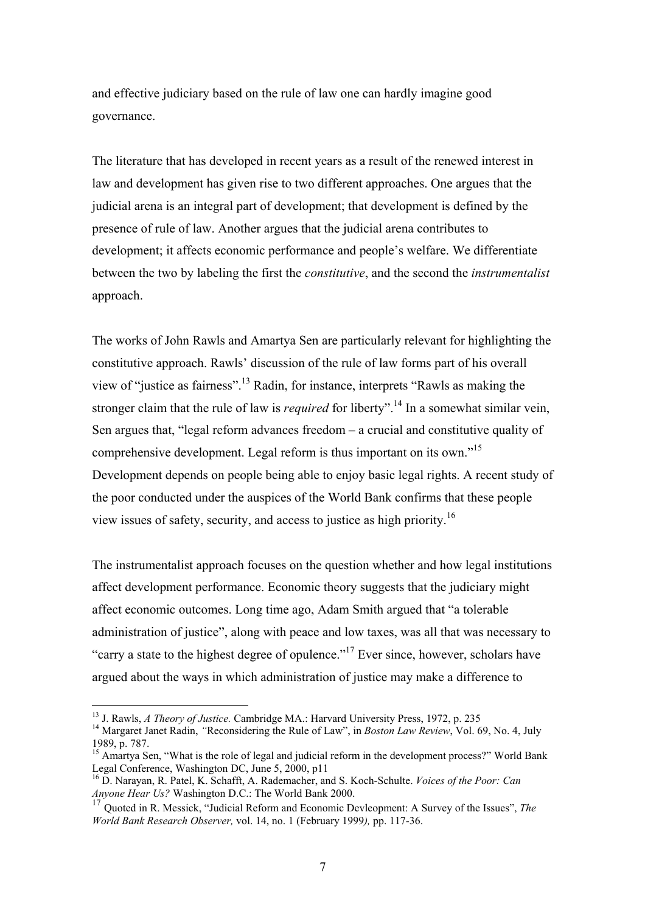and effective judiciary based on the rule of law one can hardly imagine good governance.

The literature that has developed in recent years as a result of the renewed interest in law and development has given rise to two different approaches. One argues that the judicial arena is an integral part of development; that development is defined by the presence of rule of law. Another argues that the judicial arena contributes to development; it affects economic performance and people's welfare. We differentiate between the two by labeling the first the *constitutive*, and the second the *instrumentalist*  approach.

The works of John Rawls and Amartya Sen are particularly relevant for highlighting the constitutive approach. Rawls' discussion of the rule of law forms part of his overall view of "justice as fairness".[13 R](#page-6-0)adin, for instance, interprets "Rawls as making the stronger claim that the rule of law is *required* for liberty".<sup>14</sup> In a somewhat similar vein, Sen argues that, "legal reform advances freedom – a crucial and constitutive quality of comprehensive development. Legal reform is thus important on its own."<sup>[15](#page-6-2)</sup> Development depends on people being able to enjoy basic legal rights. A recent study of the poor conducted under the auspices of the World Bank confirms that these people view issues of safety, security, and access to justice as high priority.[16](#page-6-3)

The instrumentalist approach focuses on the question whether and how legal institutions affect development performance. Economic theory suggests that the judiciary might affect economic outcomes. Long time ago, Adam Smith argued that "a tolerable administration of justice", along with peace and low taxes, was all that was necessary to "carry a state to the highest degree of opulence."<sup>17</sup> Ever since, however, scholars have argued about the ways in which administration of justice may make a difference to

<span id="page-6-0"></span><sup>&</sup>lt;sup>13</sup> J. Rawls, *A Theory of Justice*. Cambridge MA.: Harvard University Press, 1972, p. 235

<span id="page-6-1"></span><sup>&</sup>lt;sup>14</sup> Margaret Janet Radin, *"Reconsidering the Rule of Law"*, in *Boston Law Review*, Vol. 69, No. 4, July 1989, p. 787.

<span id="page-6-2"></span><sup>&</sup>lt;sup>15</sup> Amartya Sen, "What is the role of legal and judicial reform in the development process?" World Bank Legal Conference, Washington DC, June 5, 2000, p11

<span id="page-6-3"></span><sup>&</sup>lt;sup>16</sup> D. Narayan, R. Patel, K. Schafft, A. Rademacher, and S. Koch-Schulte. *Voices of the Poor: Can Anyone Hear Us?* Washington D.C.: The World Bank 2000.

<span id="page-6-4"></span><sup>17</sup> Quoted in R. Messick, "Judicial Reform and Economic Devleopment: A Survey of the Issues", *The World Bank Research Observer,* vol. 14, no. 1 (February 1999*),* pp. 117-36.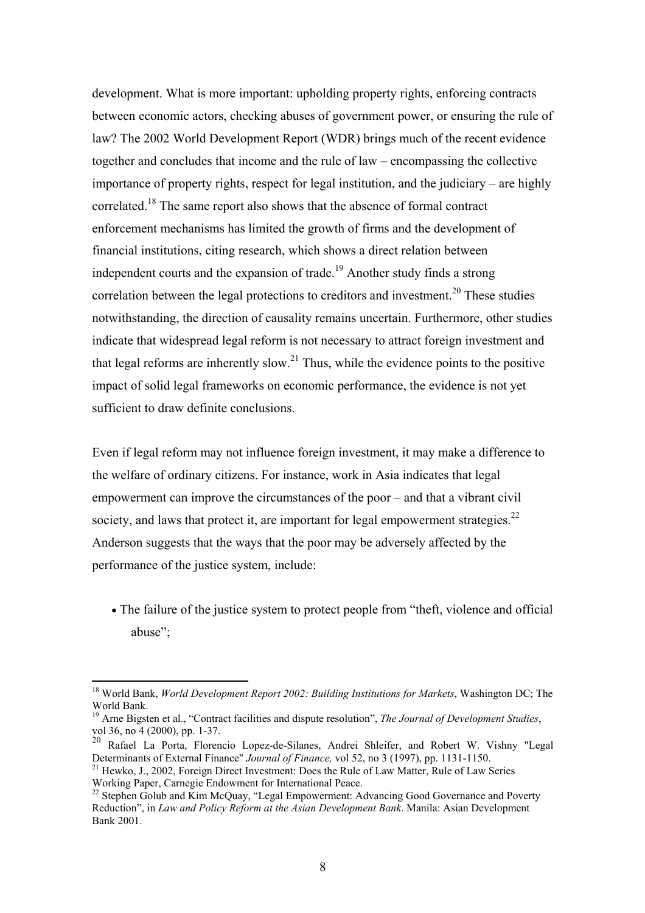development. What is more important: upholding property rights, enforcing contracts between economic actors, checking abuses of government power, or ensuring the rule of law? The 2002 World Development Report (WDR) brings much of the recent evidence together and concludes that income and the rule of law – encompassing the collective importance of property rights, respect for legal institution, and the judiciary – are highly correlated.<sup>18</sup> The same report also shows that the absence of formal contract enforcement mechanisms has limited the growth of firms and the development of financial institutions, citing research, which shows a direct relation between independent courts and the expansion of trade.<sup>19</sup> Another study finds a strong correlation between the legal protections to creditors and investment.<sup>20</sup> These studies notwithstanding, the direction of causality remains uncertain. Furthermore, other studies indicate that widespread legal reform is not necessary to attract foreign investment and that legal reforms are inherently slow.<sup>21</sup> Thus, while the evidence points to the positive impact of solid legal frameworks on economic performance, the evidence is not yet sufficient to draw definite conclusions.

Even if legal reform may not influence foreign investment, it may make a difference to the welfare of ordinary citizens. For instance, work in Asia indicates that legal empowerment can improve the circumstances of the poor – and that a vibrant civil society, and laws that protect it, are important for legal empowerment strategies. $^{22}$ Anderson suggests that the ways that the poor may be adversely affected by the performance of the justice system, include:

• The failure of the justice system to protect people from "theft, violence and official abuse";

<span id="page-7-0"></span> $\overline{a}$ <sup>18</sup> World Bank, *World Development Report 2002: Building Institutions for Markets*, Washington DC; The World Bank.<br><sup>19</sup> Arne Bigsten et al., "Contract facilities and dispute resolution", *The Journal of Development Studies*,

<span id="page-7-1"></span>vol 36, no 4 (2000), pp. 1-37.

<span id="page-7-2"></span><sup>20</sup> Rafael La Porta, Florencio Lopez-de-Silanes, Andrei Shleifer, and Robert W. Vishny "Legal

<span id="page-7-3"></span>Determinants of External Finance" *Journal of Finance*, vol 52, no 3 (1997), pp. 1131-1150.<br><sup>21</sup> Hewko, J., 2002, Foreign Direct Investment: Does the Rule of Law Matter, Rule of Law Series<br>Working Paper, Carnegie Endowment

<span id="page-7-4"></span>Working Paper, Carnegie Endowment for International Peace.<br><sup>22</sup> Stephen Golub and Kim McQuay, "Legal Empowerment: Advancing Good Governance and Poverty Reduction", in *Law and Policy Reform at the Asian Development Bank*. Manila: Asian Development Bank 2001.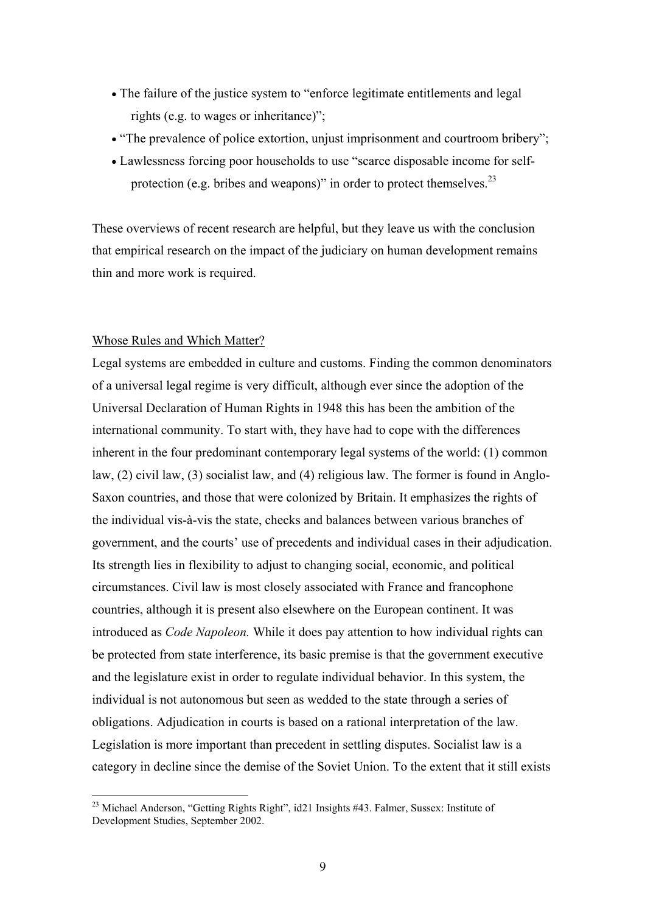- The failure of the justice system to "enforce legitimate entitlements and legal rights (e.g. to wages or inheritance)";
- "The prevalence of police extortion, unjust imprisonment and courtroom bribery";
- Lawlessness forcing poor households to use "scarce disposable income for selfprotection (e.g. bribes and weapons)" in order to protect themselves. $^{23}$

These overviews of recent research are helpful, but they leave us with the conclusion that empirical research on the impact of the judiciary on human development remains thin and more work is required.

### Whose Rules and Which Matter?

 $\overline{a}$ 

Legal systems are embedded in culture and customs. Finding the common denominators of a universal legal regime is very difficult, although ever since the adoption of the Universal Declaration of Human Rights in 1948 this has been the ambition of the international community. To start with, they have had to cope with the differences inherent in the four predominant contemporary legal systems of the world: (1) common law, (2) civil law, (3) socialist law, and (4) religious law. The former is found in Anglo-Saxon countries, and those that were colonized by Britain. It emphasizes the rights of the individual vis-à-vis the state, checks and balances between various branches of government, and the courts' use of precedents and individual cases in their adjudication. Its strength lies in flexibility to adjust to changing social, economic, and political circumstances. Civil law is most closely associated with France and francophone countries, although it is present also elsewhere on the European continent. It was introduced as *Code Napoleon.* While it does pay attention to how individual rights can be protected from state interference, its basic premise is that the government executive and the legislature exist in order to regulate individual behavior. In this system, the individual is not autonomous but seen as wedded to the state through a series of obligations. Adjudication in courts is based on a rational interpretation of the law. Legislation is more important than precedent in settling disputes. Socialist law is a category in decline since the demise of the Soviet Union. To the extent that it still exists

<span id="page-8-0"></span><sup>&</sup>lt;sup>23</sup> Michael Anderson, "Getting Rights Right", id21 Insights #43. Falmer, Sussex: Institute of Development Studies, September 2002.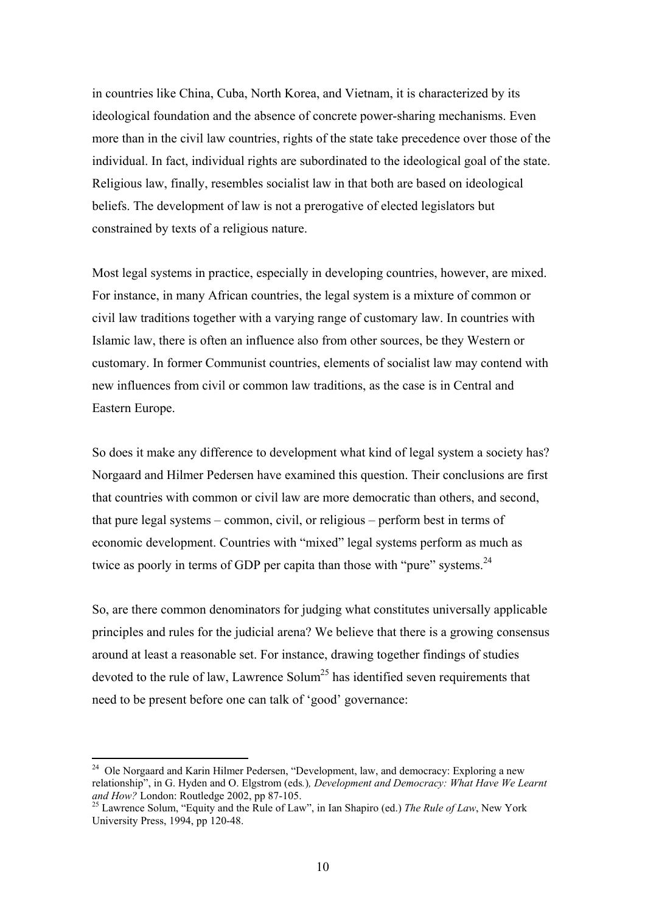in countries like China, Cuba, North Korea, and Vietnam, it is characterized by its ideological foundation and the absence of concrete power-sharing mechanisms. Even more than in the civil law countries, rights of the state take precedence over those of the individual. In fact, individual rights are subordinated to the ideological goal of the state. Religious law, finally, resembles socialist law in that both are based on ideological beliefs. The development of law is not a prerogative of elected legislators but constrained by texts of a religious nature.

Most legal systems in practice, especially in developing countries, however, are mixed. For instance, in many African countries, the legal system is a mixture of common or civil law traditions together with a varying range of customary law. In countries with Islamic law, there is often an influence also from other sources, be they Western or customary. In former Communist countries, elements of socialist law may contend with new influences from civil or common law traditions, as the case is in Central and Eastern Europe.

So does it make any difference to development what kind of legal system a society has? Norgaard and Hilmer Pedersen have examined this question. Their conclusions are first that countries with common or civil law are more democratic than others, and second, that pure legal systems – common, civil, or religious – perform best in terms of economic development. Countries with "mixed" legal systems perform as much as twice as poorly in terms of GDP per capita than those with "pure" systems.<sup>[24](#page-9-0)</sup>

So, are there common denominators for judging what constitutes universally applicable principles and rules for the judicial arena? We believe that there is a growing consensus around at least a reasonable set. For instance, drawing together findings of studies devoted to the rule of law, Lawrence Solum<sup>25</sup> has identified seven requirements that need to be present before one can talk of 'good' governance:

<span id="page-9-0"></span><sup>&</sup>lt;sup>24</sup> Ole Norgaard and Karin Hilmer Pedersen, "Development, law, and democracy: Exploring a new relationship", in G. Hyden and O. Elgstrom (eds*.*)*, Development and Democracy: What Have We Learnt* 

<span id="page-9-1"></span><sup>&</sup>lt;sup>25</sup> Lawrence Solum, "Equity and the Rule of Law", in Ian Shapiro (ed.) *The Rule of Law*, New York University Press, 1994, pp 120-48.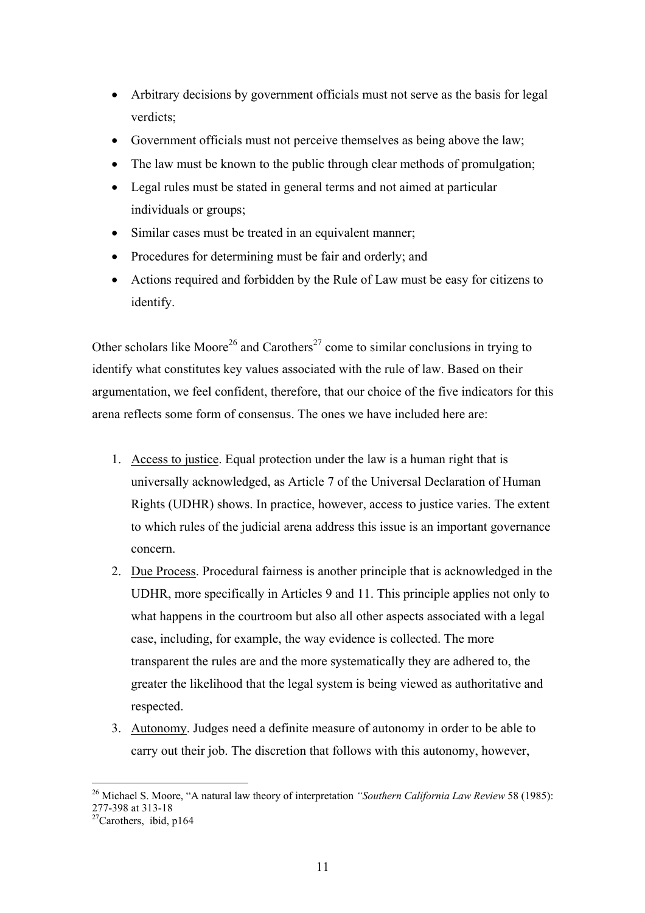- Arbitrary decisions by government officials must not serve as the basis for legal verdicts;
- Government officials must not perceive themselves as being above the law;
- The law must be known to the public through clear methods of promulgation;
- Legal rules must be stated in general terms and not aimed at particular individuals or groups;
- Similar cases must be treated in an equivalent manner;
- Procedures for determining must be fair and orderly; and
- Actions required and forbidden by the Rule of Law must be easy for citizens to identify.

Other scholars like Moore<sup>26</sup> and Carothers<sup>27</sup> come to similar conclusions in trying to identify what constitutes key values associated with the rule of law. Based on their argumentation, we feel confident, therefore, that our choice of the five indicators for this arena reflects some form of consensus. The ones we have included here are:

- 1. Access to justice. Equal protection under the law is a human right that is universally acknowledged, as Article 7 of the Universal Declaration of Human Rights (UDHR) shows. In practice, however, access to justice varies. The extent to which rules of the judicial arena address this issue is an important governance concern.
- 2. Due Process. Procedural fairness is another principle that is acknowledged in the UDHR, more specifically in Articles 9 and 11. This principle applies not only to what happens in the courtroom but also all other aspects associated with a legal case, including, for example, the way evidence is collected. The more transparent the rules are and the more systematically they are adhered to, the greater the likelihood that the legal system is being viewed as authoritative and respected.
- 3. Autonomy. Judges need a definite measure of autonomy in order to be able to carry out their job. The discretion that follows with this autonomy, however,

<span id="page-10-0"></span> $\overline{a}$ 26 Michael S. Moore, "A natural law theory of interpretation *"Southern California Law Review* 58 (1985): 277-398 at 313-18<br> $^{27}$ Carothers, ibid, p164

<span id="page-10-1"></span>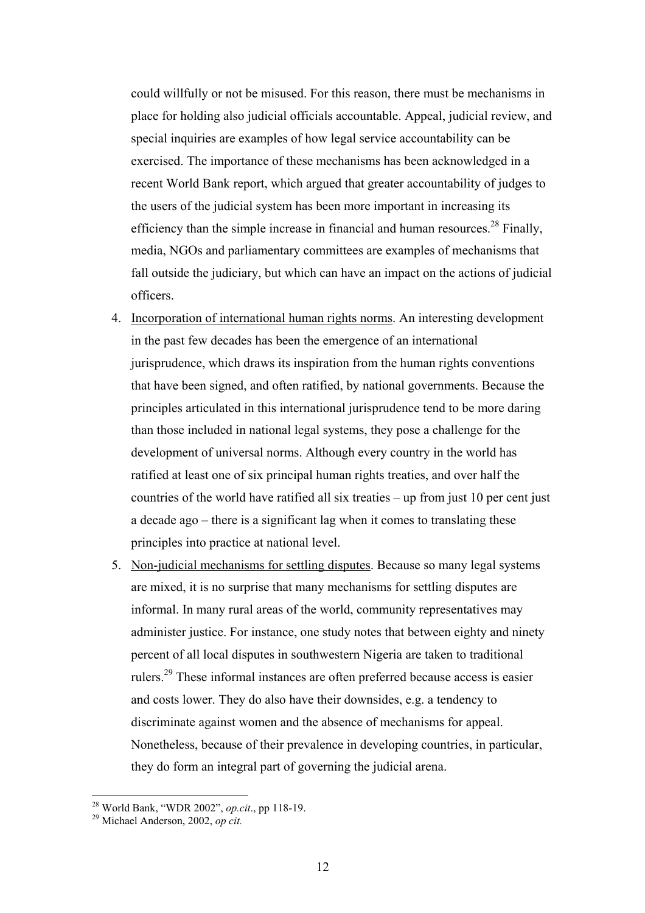could willfully or not be misused. For this reason, there must be mechanisms in place for holding also judicial officials accountable. Appeal, judicial review, and special inquiries are examples of how legal service accountability can be exercised. The importance of these mechanisms has been acknowledged in a recent World Bank report, which argued that greater accountability of judges to the users of the judicial system has been more important in increasing its efficiency than the simple increase in financial and human resources.<sup>28</sup> Finally, media, NGOs and parliamentary committees are examples of mechanisms that fall outside the judiciary, but which can have an impact on the actions of judicial officers.

- 4. Incorporation of international human rights norms. An interesting development in the past few decades has been the emergence of an international jurisprudence, which draws its inspiration from the human rights conventions that have been signed, and often ratified, by national governments. Because the principles articulated in this international jurisprudence tend to be more daring than those included in national legal systems, they pose a challenge for the development of universal norms. Although every country in the world has ratified at least one of six principal human rights treaties, and over half the countries of the world have ratified all six treaties – up from just 10 per cent just a decade ago – there is a significant lag when it comes to translating these principles into practice at national level.
- 5. Non-judicial mechanisms for settling disputes. Because so many legal systems are mixed, it is no surprise that many mechanisms for settling disputes are informal. In many rural areas of the world, community representatives may administer justice. For instance, one study notes that between eighty and ninety percent of all local disputes in southwestern Nigeria are taken to traditional rulers[.29](#page-11-1) These informal instances are often preferred because access is easier and costs lower. They do also have their downsides, e.g. a tendency to discriminate against women and the absence of mechanisms for appeal. Nonetheless, because of their prevalence in developing countries, in particular, they do form an integral part of governing the judicial arena.

<span id="page-11-0"></span><sup>28</sup> World Bank, "WDR 2002", *op.cit*., pp 118-19. 29 Michael Anderson, 2002, *op cit.*

<span id="page-11-1"></span>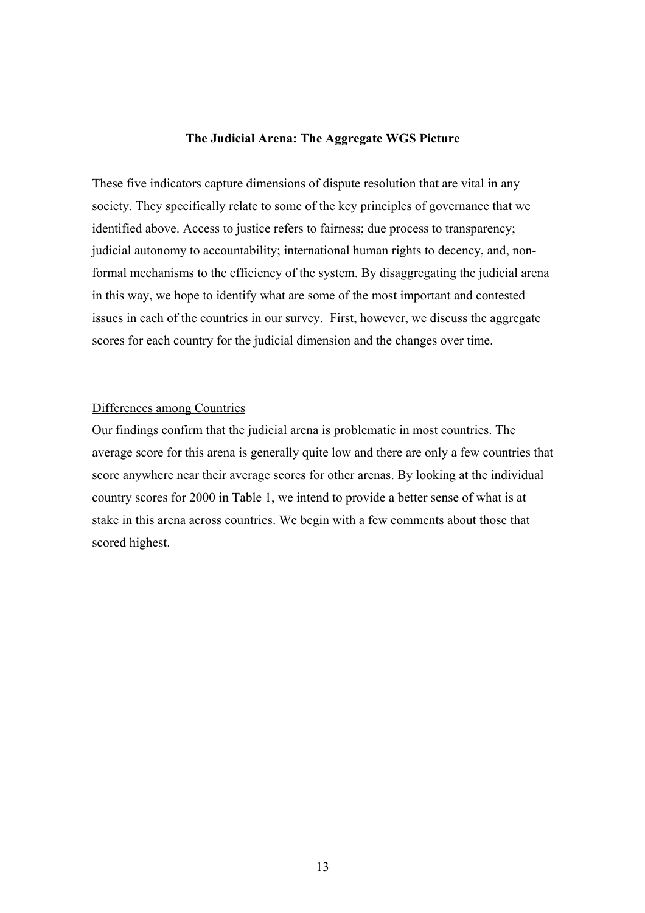## **The Judicial Arena: The Aggregate WGS Picture**

These five indicators capture dimensions of dispute resolution that are vital in any society. They specifically relate to some of the key principles of governance that we identified above. Access to justice refers to fairness; due process to transparency; judicial autonomy to accountability; international human rights to decency, and, nonformal mechanisms to the efficiency of the system. By disaggregating the judicial arena in this way, we hope to identify what are some of the most important and contested issues in each of the countries in our survey. First, however, we discuss the aggregate scores for each country for the judicial dimension and the changes over time.

#### Differences among Countries

Our findings confirm that the judicial arena is problematic in most countries. The average score for this arena is generally quite low and there are only a few countries that score anywhere near their average scores for other arenas. By looking at the individual country scores for 2000 in Table 1, we intend to provide a better sense of what is at stake in this arena across countries. We begin with a few comments about those that scored highest.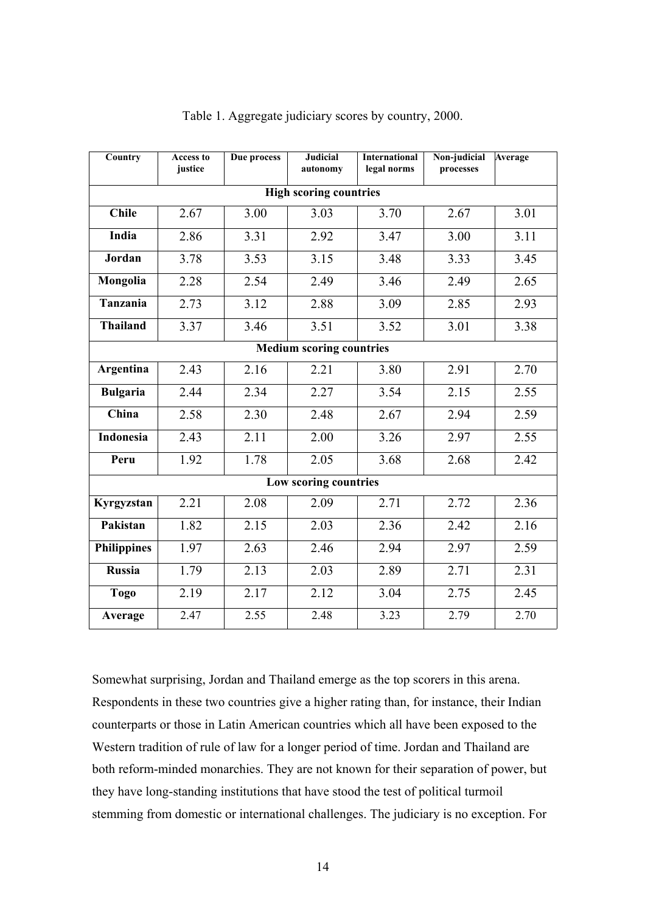| Country                         | <b>Access to</b><br>justice | Due process | <b>Judicial</b><br>autonomy | <b>International</b><br>legal norms | Non-judicial<br>processes | Average |  |
|---------------------------------|-----------------------------|-------------|-----------------------------|-------------------------------------|---------------------------|---------|--|
| <b>High scoring countries</b>   |                             |             |                             |                                     |                           |         |  |
| <b>Chile</b>                    | 2.67                        | 3.00        | 3.03                        | 3.70                                | 2.67                      | 3.01    |  |
| India                           | 2.86                        | 3.31        | 2.92                        | 3.47                                | 3.00                      | 3.11    |  |
| Jordan                          | 3.78                        | 3.53        | 3.15                        | 3.48                                | 3.33                      | 3.45    |  |
| Mongolia                        | 2.28                        | 2.54        | 2.49                        | 3.46                                | 2.49                      | 2.65    |  |
| <b>Tanzania</b>                 | 2.73                        | 3.12        | 2.88                        | 3.09                                | 2.85                      | 2.93    |  |
| <b>Thailand</b>                 | 3.37                        | 3.46        | 3.51                        | 3.52                                | 3.01                      | 3.38    |  |
| <b>Medium scoring countries</b> |                             |             |                             |                                     |                           |         |  |
| Argentina                       | 2.43                        | 2.16        | 2.21                        | 3.80                                | 2.91                      | 2.70    |  |
| <b>Bulgaria</b>                 | 2.44                        | 2.34        | 2.27                        | 3.54                                | 2.15                      | 2.55    |  |
| China                           | 2.58                        | 2.30        | 2.48                        | 2.67                                | 2.94                      | 2.59    |  |
| Indonesia                       | 2.43                        | 2.11        | 2.00                        | 3.26                                | 2.97                      | 2.55    |  |
| Peru                            | 1.92                        | 1.78        | 2.05                        | 3.68                                | 2.68                      | 2.42    |  |
| Low scoring countries           |                             |             |                             |                                     |                           |         |  |
| Kyrgyzstan                      | 2.21                        | 2.08        | 2.09                        | 2.71                                | 2.72                      | 2.36    |  |
| Pakistan                        | 1.82                        | 2.15        | 2.03                        | 2.36                                | 2.42                      | 2.16    |  |
| <b>Philippines</b>              | 1.97                        | 2.63        | 2.46                        | 2.94                                | 2.97                      | 2.59    |  |
| <b>Russia</b>                   | 1.79                        | 2.13        | 2.03                        | 2.89                                | 2.71                      | 2.31    |  |
| <b>Togo</b>                     | 2.19                        | 2.17        | 2.12                        | 3.04                                | 2.75                      | 2.45    |  |
| Average                         | 2.47                        | 2.55        | 2.48                        | 3.23                                | 2.79                      | 2.70    |  |

## Table 1. Aggregate judiciary scores by country, 2000.

Somewhat surprising, Jordan and Thailand emerge as the top scorers in this arena. Respondents in these two countries give a higher rating than, for instance, their Indian counterparts or those in Latin American countries which all have been exposed to the Western tradition of rule of law for a longer period of time. Jordan and Thailand are both reform-minded monarchies. They are not known for their separation of power, but they have long-standing institutions that have stood the test of political turmoil stemming from domestic or international challenges. The judiciary is no exception. For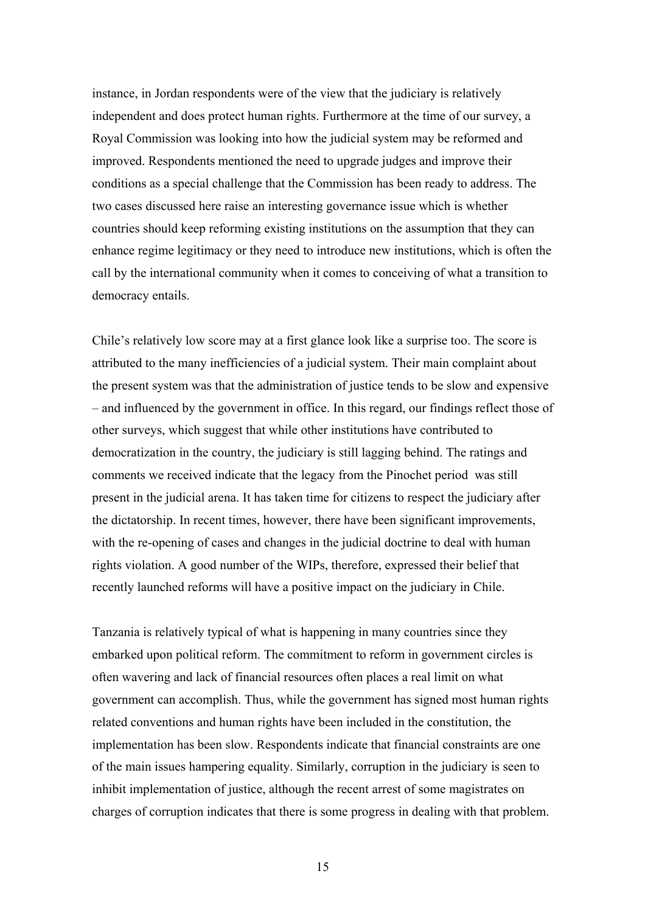instance, in Jordan respondents were of the view that the judiciary is relatively independent and does protect human rights. Furthermore at the time of our survey, a Royal Commission was looking into how the judicial system may be reformed and improved. Respondents mentioned the need to upgrade judges and improve their conditions as a special challenge that the Commission has been ready to address. The two cases discussed here raise an interesting governance issue which is whether countries should keep reforming existing institutions on the assumption that they can enhance regime legitimacy or they need to introduce new institutions, which is often the call by the international community when it comes to conceiving of what a transition to democracy entails.

Chile's relatively low score may at a first glance look like a surprise too. The score is attributed to the many inefficiencies of a judicial system. Their main complaint about the present system was that the administration of justice tends to be slow and expensive – and influenced by the government in office. In this regard, our findings reflect those of other surveys, which suggest that while other institutions have contributed to democratization in the country, the judiciary is still lagging behind. The ratings and comments we received indicate that the legacy from the Pinochet period was still present in the judicial arena. It has taken time for citizens to respect the judiciary after the dictatorship. In recent times, however, there have been significant improvements, with the re-opening of cases and changes in the judicial doctrine to deal with human rights violation. A good number of the WIPs, therefore, expressed their belief that recently launched reforms will have a positive impact on the judiciary in Chile.

Tanzania is relatively typical of what is happening in many countries since they embarked upon political reform. The commitment to reform in government circles is often wavering and lack of financial resources often places a real limit on what government can accomplish. Thus, while the government has signed most human rights related conventions and human rights have been included in the constitution, the implementation has been slow. Respondents indicate that financial constraints are one of the main issues hampering equality. Similarly, corruption in the judiciary is seen to inhibit implementation of justice, although the recent arrest of some magistrates on charges of corruption indicates that there is some progress in dealing with that problem.

15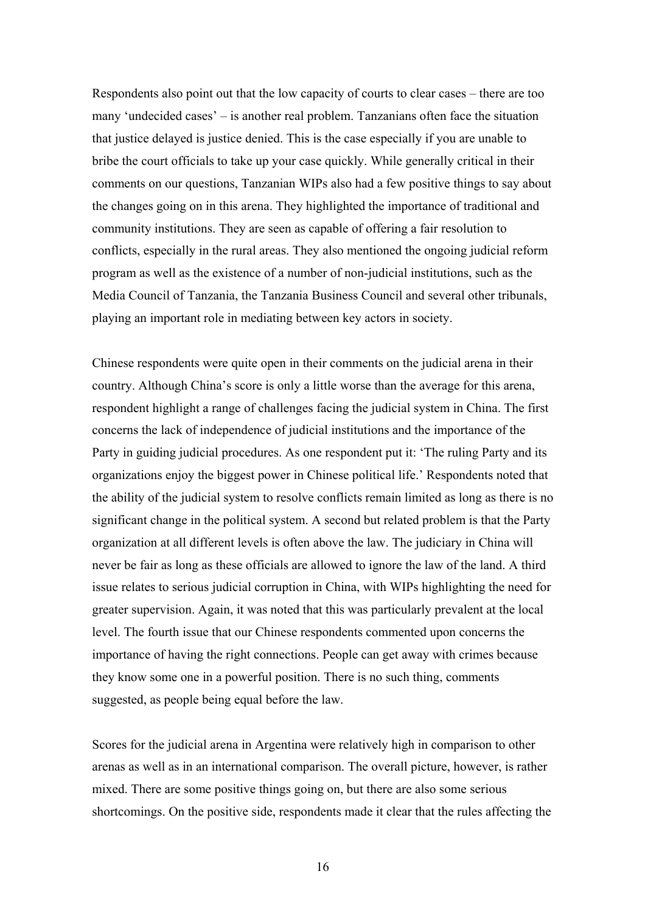Respondents also point out that the low capacity of courts to clear cases – there are too many 'undecided cases' – is another real problem. Tanzanians often face the situation that justice delayed is justice denied. This is the case especially if you are unable to bribe the court officials to take up your case quickly. While generally critical in their comments on our questions, Tanzanian WIPs also had a few positive things to say about the changes going on in this arena. They highlighted the importance of traditional and community institutions. They are seen as capable of offering a fair resolution to conflicts, especially in the rural areas. They also mentioned the ongoing judicial reform program as well as the existence of a number of non-judicial institutions, such as the Media Council of Tanzania, the Tanzania Business Council and several other tribunals, playing an important role in mediating between key actors in society.

Chinese respondents were quite open in their comments on the judicial arena in their country. Although China's score is only a little worse than the average for this arena, respondent highlight a range of challenges facing the judicial system in China. The first concerns the lack of independence of judicial institutions and the importance of the Party in guiding judicial procedures. As one respondent put it: 'The ruling Party and its organizations enjoy the biggest power in Chinese political life.' Respondents noted that the ability of the judicial system to resolve conflicts remain limited as long as there is no significant change in the political system. A second but related problem is that the Party organization at all different levels is often above the law. The judiciary in China will never be fair as long as these officials are allowed to ignore the law of the land. A third issue relates to serious judicial corruption in China, with WIPs highlighting the need for greater supervision. Again, it was noted that this was particularly prevalent at the local level. The fourth issue that our Chinese respondents commented upon concerns the importance of having the right connections. People can get away with crimes because they know some one in a powerful position. There is no such thing, comments suggested, as people being equal before the law.

Scores for the judicial arena in Argentina were relatively high in comparison to other arenas as well as in an international comparison. The overall picture, however, is rather mixed. There are some positive things going on, but there are also some serious shortcomings. On the positive side, respondents made it clear that the rules affecting the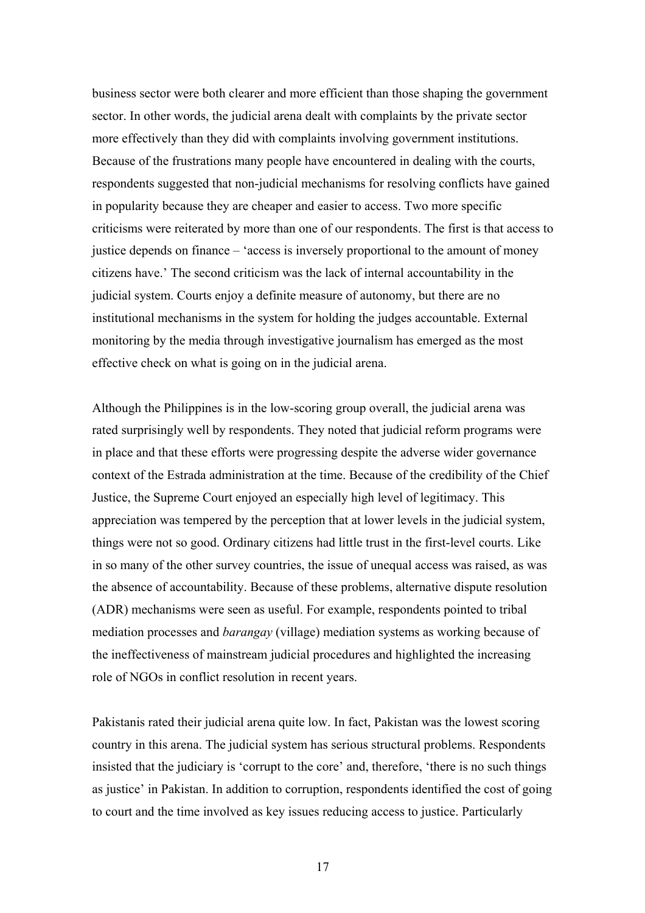business sector were both clearer and more efficient than those shaping the government sector. In other words, the judicial arena dealt with complaints by the private sector more effectively than they did with complaints involving government institutions. Because of the frustrations many people have encountered in dealing with the courts, respondents suggested that non-judicial mechanisms for resolving conflicts have gained in popularity because they are cheaper and easier to access. Two more specific criticisms were reiterated by more than one of our respondents. The first is that access to justice depends on finance – 'access is inversely proportional to the amount of money citizens have.' The second criticism was the lack of internal accountability in the judicial system. Courts enjoy a definite measure of autonomy, but there are no institutional mechanisms in the system for holding the judges accountable. External monitoring by the media through investigative journalism has emerged as the most effective check on what is going on in the judicial arena.

Although the Philippines is in the low-scoring group overall, the judicial arena was rated surprisingly well by respondents. They noted that judicial reform programs were in place and that these efforts were progressing despite the adverse wider governance context of the Estrada administration at the time. Because of the credibility of the Chief Justice, the Supreme Court enjoyed an especially high level of legitimacy. This appreciation was tempered by the perception that at lower levels in the judicial system, things were not so good. Ordinary citizens had little trust in the first-level courts. Like in so many of the other survey countries, the issue of unequal access was raised, as was the absence of accountability. Because of these problems, alternative dispute resolution (ADR) mechanisms were seen as useful. For example, respondents pointed to tribal mediation processes and *barangay* (village) mediation systems as working because of the ineffectiveness of mainstream judicial procedures and highlighted the increasing role of NGOs in conflict resolution in recent years.

Pakistanis rated their judicial arena quite low. In fact, Pakistan was the lowest scoring country in this arena. The judicial system has serious structural problems. Respondents insisted that the judiciary is 'corrupt to the core' and, therefore, 'there is no such things as justice' in Pakistan. In addition to corruption, respondents identified the cost of going to court and the time involved as key issues reducing access to justice. Particularly

17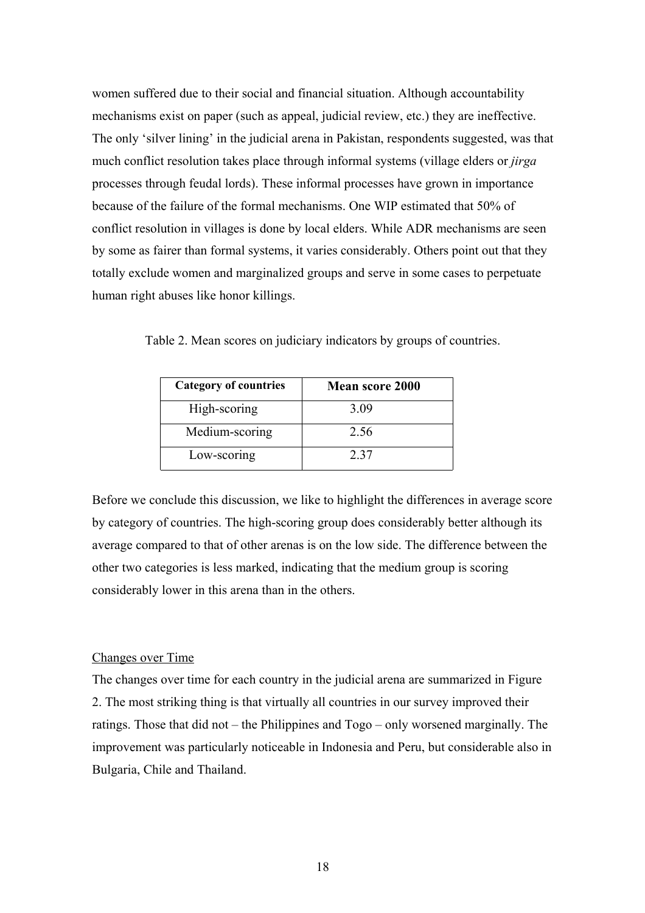women suffered due to their social and financial situation. Although accountability mechanisms exist on paper (such as appeal, judicial review, etc.) they are ineffective. The only 'silver lining' in the judicial arena in Pakistan, respondents suggested, was that much conflict resolution takes place through informal systems (village elders or *jirga* processes through feudal lords). These informal processes have grown in importance because of the failure of the formal mechanisms. One WIP estimated that 50% of conflict resolution in villages is done by local elders. While ADR mechanisms are seen by some as fairer than formal systems, it varies considerably. Others point out that they totally exclude women and marginalized groups and serve in some cases to perpetuate human right abuses like honor killings.

|  |  | Table 2. Mean scores on judiciary indicators by groups of countries. |  |  |
|--|--|----------------------------------------------------------------------|--|--|

| <b>Category of countries</b> | <b>Mean score 2000</b> |
|------------------------------|------------------------|
| High-scoring                 | 3.09                   |
| Medium-scoring               | 2.56                   |
| Low-scoring                  | 2.37                   |

Before we conclude this discussion, we like to highlight the differences in average score by category of countries. The high-scoring group does considerably better although its average compared to that of other arenas is on the low side. The difference between the other two categories is less marked, indicating that the medium group is scoring considerably lower in this arena than in the others.

#### Changes over Time

The changes over time for each country in the judicial arena are summarized in Figure 2. The most striking thing is that virtually all countries in our survey improved their ratings. Those that did not – the Philippines and Togo – only worsened marginally. The improvement was particularly noticeable in Indonesia and Peru, but considerable also in Bulgaria, Chile and Thailand.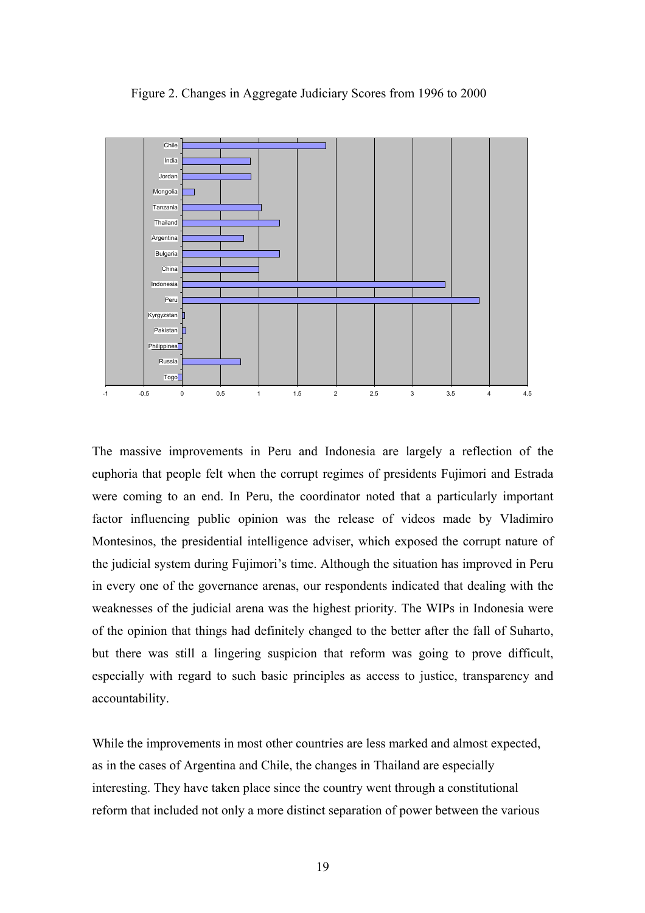



The massive improvements in Peru and Indonesia are largely a reflection of the euphoria that people felt when the corrupt regimes of presidents Fujimori and Estrada were coming to an end. In Peru, the coordinator noted that a particularly important factor influencing public opinion was the release of videos made by Vladimiro Montesinos, the presidential intelligence adviser, which exposed the corrupt nature of the judicial system during Fujimori's time. Although the situation has improved in Peru in every one of the governance arenas, our respondents indicated that dealing with the weaknesses of the judicial arena was the highest priority. The WIPs in Indonesia were of the opinion that things had definitely changed to the better after the fall of Suharto, but there was still a lingering suspicion that reform was going to prove difficult, especially with regard to such basic principles as access to justice, transparency and accountability.

While the improvements in most other countries are less marked and almost expected, as in the cases of Argentina and Chile, the changes in Thailand are especially interesting. They have taken place since the country went through a constitutional reform that included not only a more distinct separation of power between the various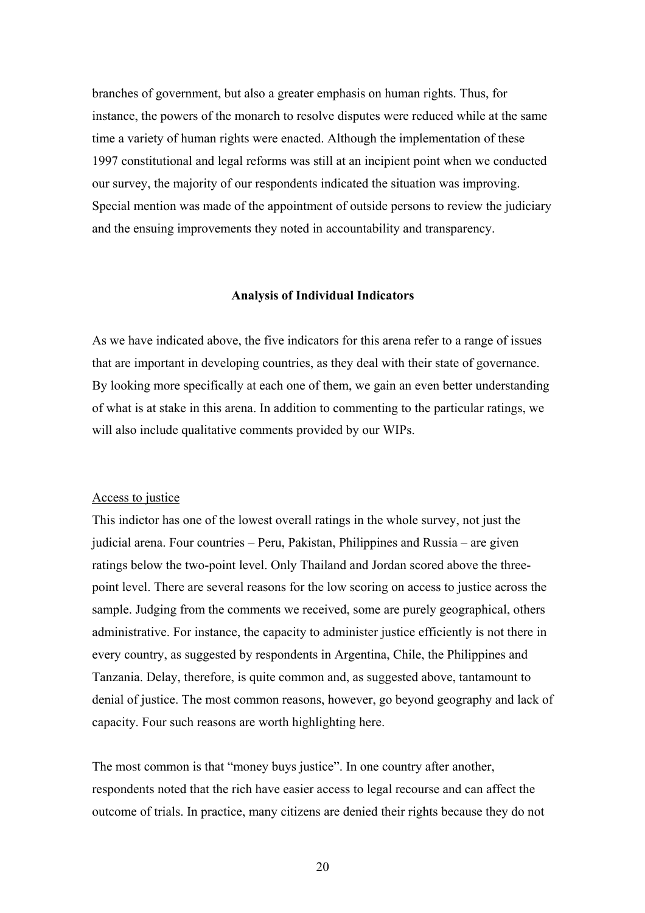branches of government, but also a greater emphasis on human rights. Thus, for instance, the powers of the monarch to resolve disputes were reduced while at the same time a variety of human rights were enacted. Although the implementation of these 1997 constitutional and legal reforms was still at an incipient point when we conducted our survey, the majority of our respondents indicated the situation was improving. Special mention was made of the appointment of outside persons to review the judiciary and the ensuing improvements they noted in accountability and transparency.

#### **Analysis of Individual Indicators**

As we have indicated above, the five indicators for this arena refer to a range of issues that are important in developing countries, as they deal with their state of governance. By looking more specifically at each one of them, we gain an even better understanding of what is at stake in this arena. In addition to commenting to the particular ratings, we will also include qualitative comments provided by our WIPs.

## Access to justice

This indictor has one of the lowest overall ratings in the whole survey, not just the judicial arena. Four countries – Peru, Pakistan, Philippines and Russia – are given ratings below the two-point level. Only Thailand and Jordan scored above the threepoint level. There are several reasons for the low scoring on access to justice across the sample. Judging from the comments we received, some are purely geographical, others administrative. For instance, the capacity to administer justice efficiently is not there in every country, as suggested by respondents in Argentina, Chile, the Philippines and Tanzania. Delay, therefore, is quite common and, as suggested above, tantamount to denial of justice. The most common reasons, however, go beyond geography and lack of capacity. Four such reasons are worth highlighting here.

The most common is that "money buys justice". In one country after another, respondents noted that the rich have easier access to legal recourse and can affect the outcome of trials. In practice, many citizens are denied their rights because they do not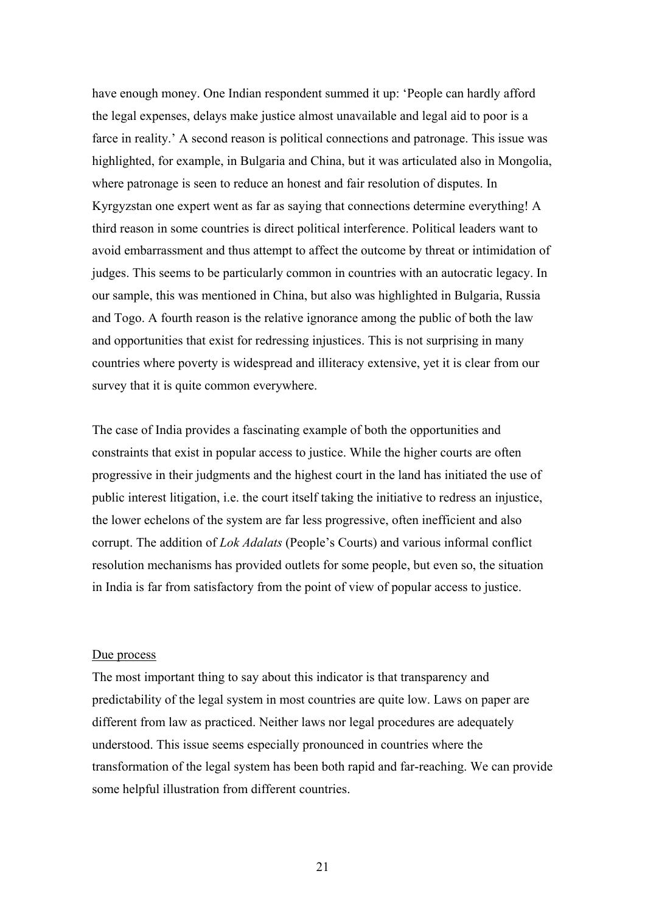have enough money. One Indian respondent summed it up: 'People can hardly afford the legal expenses, delays make justice almost unavailable and legal aid to poor is a farce in reality.' A second reason is political connections and patronage. This issue was highlighted, for example, in Bulgaria and China, but it was articulated also in Mongolia, where patronage is seen to reduce an honest and fair resolution of disputes. In Kyrgyzstan one expert went as far as saying that connections determine everything! A third reason in some countries is direct political interference. Political leaders want to avoid embarrassment and thus attempt to affect the outcome by threat or intimidation of judges. This seems to be particularly common in countries with an autocratic legacy. In our sample, this was mentioned in China, but also was highlighted in Bulgaria, Russia and Togo. A fourth reason is the relative ignorance among the public of both the law and opportunities that exist for redressing injustices. This is not surprising in many countries where poverty is widespread and illiteracy extensive, yet it is clear from our survey that it is quite common everywhere.

The case of India provides a fascinating example of both the opportunities and constraints that exist in popular access to justice. While the higher courts are often progressive in their judgments and the highest court in the land has initiated the use of public interest litigation, i.e. the court itself taking the initiative to redress an injustice, the lower echelons of the system are far less progressive, often inefficient and also corrupt. The addition of *Lok Adalats* (People's Courts) and various informal conflict resolution mechanisms has provided outlets for some people, but even so, the situation in India is far from satisfactory from the point of view of popular access to justice.

#### Due process

The most important thing to say about this indicator is that transparency and predictability of the legal system in most countries are quite low. Laws on paper are different from law as practiced. Neither laws nor legal procedures are adequately understood. This issue seems especially pronounced in countries where the transformation of the legal system has been both rapid and far-reaching. We can provide some helpful illustration from different countries.

21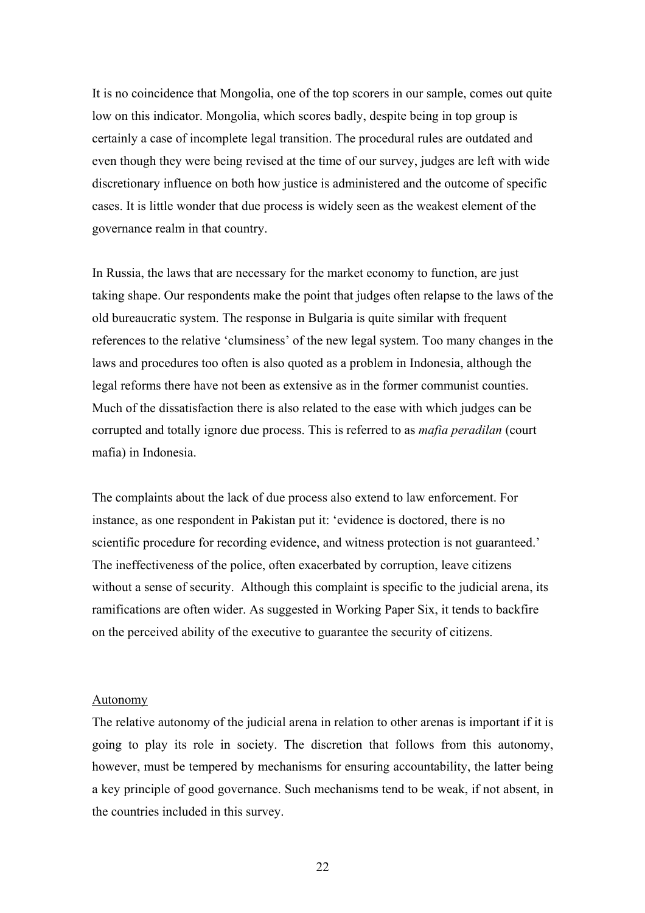It is no coincidence that Mongolia, one of the top scorers in our sample, comes out quite low on this indicator. Mongolia, which scores badly, despite being in top group is certainly a case of incomplete legal transition. The procedural rules are outdated and even though they were being revised at the time of our survey, judges are left with wide discretionary influence on both how justice is administered and the outcome of specific cases. It is little wonder that due process is widely seen as the weakest element of the governance realm in that country.

In Russia, the laws that are necessary for the market economy to function, are just taking shape. Our respondents make the point that judges often relapse to the laws of the old bureaucratic system. The response in Bulgaria is quite similar with frequent references to the relative 'clumsiness' of the new legal system. Too many changes in the laws and procedures too often is also quoted as a problem in Indonesia, although the legal reforms there have not been as extensive as in the former communist counties. Much of the dissatisfaction there is also related to the ease with which judges can be corrupted and totally ignore due process. This is referred to as *mafia peradilan* (court mafia) in Indonesia.

The complaints about the lack of due process also extend to law enforcement. For instance, as one respondent in Pakistan put it: 'evidence is doctored, there is no scientific procedure for recording evidence, and witness protection is not guaranteed.' The ineffectiveness of the police, often exacerbated by corruption, leave citizens without a sense of security. Although this complaint is specific to the judicial arena, its ramifications are often wider. As suggested in Working Paper Six, it tends to backfire on the perceived ability of the executive to guarantee the security of citizens.

#### Autonomy

The relative autonomy of the judicial arena in relation to other arenas is important if it is going to play its role in society. The discretion that follows from this autonomy, however, must be tempered by mechanisms for ensuring accountability, the latter being a key principle of good governance. Such mechanisms tend to be weak, if not absent, in the countries included in this survey.

22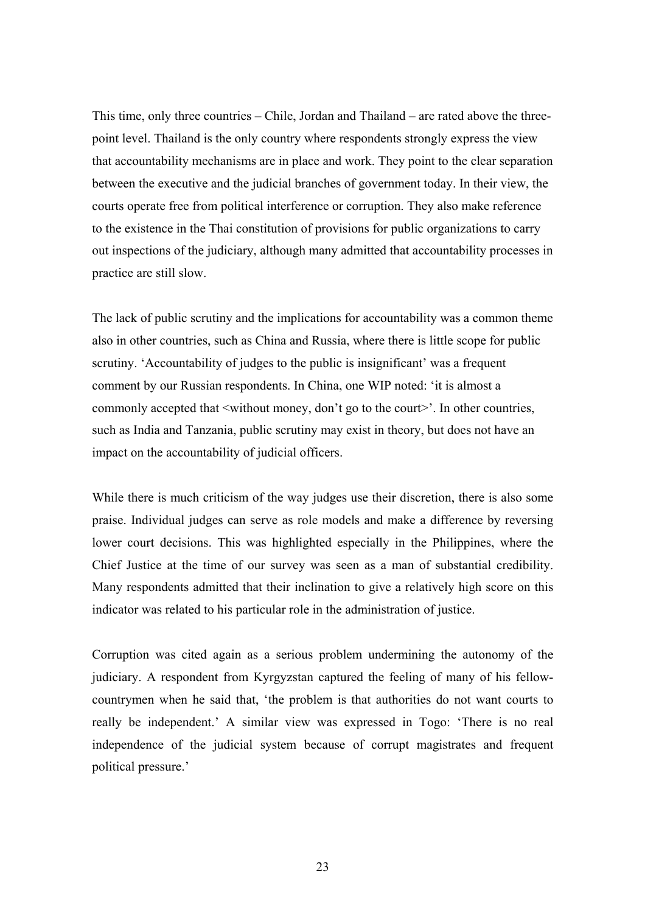This time, only three countries – Chile, Jordan and Thailand – are rated above the threepoint level. Thailand is the only country where respondents strongly express the view that accountability mechanisms are in place and work. They point to the clear separation between the executive and the judicial branches of government today. In their view, the courts operate free from political interference or corruption. They also make reference to the existence in the Thai constitution of provisions for public organizations to carry out inspections of the judiciary, although many admitted that accountability processes in practice are still slow.

The lack of public scrutiny and the implications for accountability was a common theme also in other countries, such as China and Russia, where there is little scope for public scrutiny. 'Accountability of judges to the public is insignificant' was a frequent comment by our Russian respondents. In China, one WIP noted: 'it is almost a commonly accepted that  $\leq$  without money, don't go to the court $\geq$ . In other countries, such as India and Tanzania, public scrutiny may exist in theory, but does not have an impact on the accountability of judicial officers.

While there is much criticism of the way judges use their discretion, there is also some praise. Individual judges can serve as role models and make a difference by reversing lower court decisions. This was highlighted especially in the Philippines, where the Chief Justice at the time of our survey was seen as a man of substantial credibility. Many respondents admitted that their inclination to give a relatively high score on this indicator was related to his particular role in the administration of justice.

Corruption was cited again as a serious problem undermining the autonomy of the judiciary. A respondent from Kyrgyzstan captured the feeling of many of his fellowcountrymen when he said that, 'the problem is that authorities do not want courts to really be independent.' A similar view was expressed in Togo: 'There is no real independence of the judicial system because of corrupt magistrates and frequent political pressure.'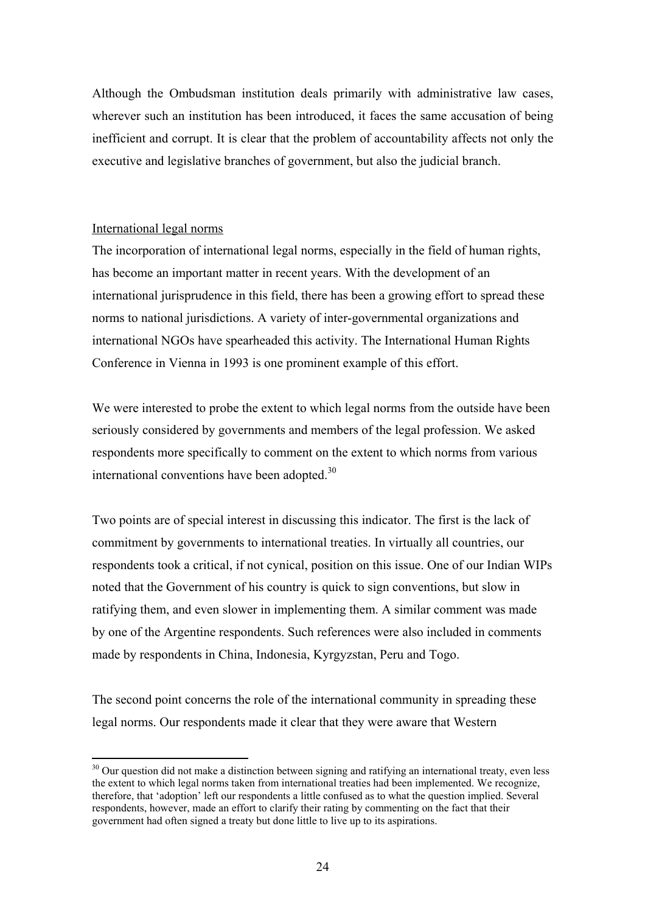Although the Ombudsman institution deals primarily with administrative law cases, wherever such an institution has been introduced, it faces the same accusation of being inefficient and corrupt. It is clear that the problem of accountability affects not only the executive and legislative branches of government, but also the judicial branch.

## International legal norms

 $\overline{a}$ 

The incorporation of international legal norms, especially in the field of human rights, has become an important matter in recent years. With the development of an international jurisprudence in this field, there has been a growing effort to spread these norms to national jurisdictions. A variety of inter-governmental organizations and international NGOs have spearheaded this activity. The International Human Rights Conference in Vienna in 1993 is one prominent example of this effort.

We were interested to probe the extent to which legal norms from the outside have been seriously considered by governments and members of the legal profession. We asked respondents more specifically to comment on the extent to which norms from various international conventions have been adopted.<sup>30</sup>

Two points are of special interest in discussing this indicator. The first is the lack of commitment by governments to international treaties. In virtually all countries, our respondents took a critical, if not cynical, position on this issue. One of our Indian WIPs noted that the Government of his country is quick to sign conventions, but slow in ratifying them, and even slower in implementing them. A similar comment was made by one of the Argentine respondents. Such references were also included in comments made by respondents in China, Indonesia, Kyrgyzstan, Peru and Togo.

The second point concerns the role of the international community in spreading these legal norms. Our respondents made it clear that they were aware that Western

<span id="page-23-0"></span> $30$  Our question did not make a distinction between signing and ratifying an international treaty, even less the extent to which legal norms taken from international treaties had been implemented. We recognize, therefore, that 'adoption' left our respondents a little confused as to what the question implied. Several respondents, however, made an effort to clarify their rating by commenting on the fact that their government had often signed a treaty but done little to live up to its aspirations.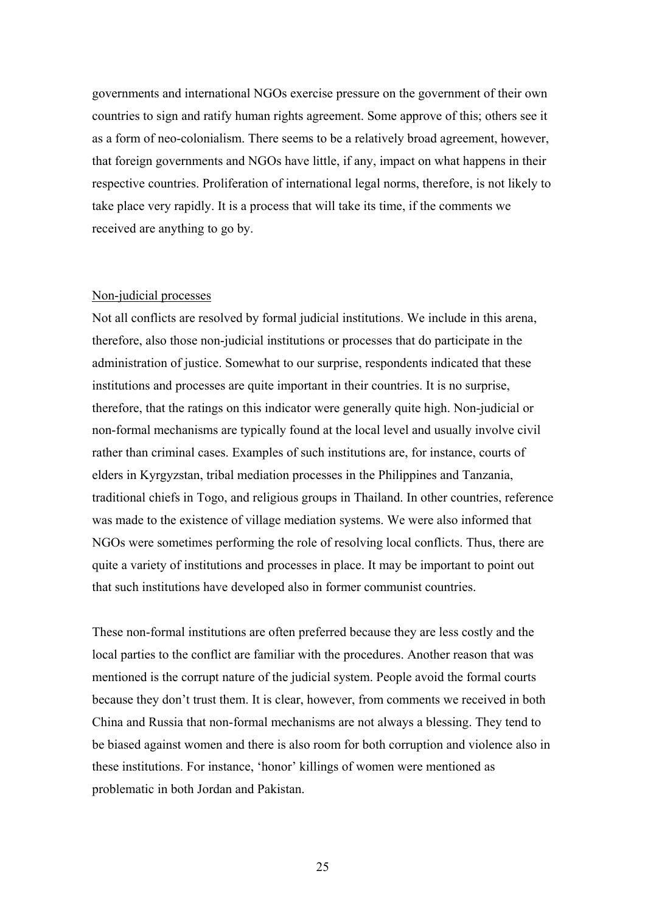governments and international NGOs exercise pressure on the government of their own countries to sign and ratify human rights agreement. Some approve of this; others see it as a form of neo-colonialism. There seems to be a relatively broad agreement, however, that foreign governments and NGOs have little, if any, impact on what happens in their respective countries. Proliferation of international legal norms, therefore, is not likely to take place very rapidly. It is a process that will take its time, if the comments we received are anything to go by.

## Non-judicial processes

Not all conflicts are resolved by formal judicial institutions. We include in this arena, therefore, also those non-judicial institutions or processes that do participate in the administration of justice. Somewhat to our surprise, respondents indicated that these institutions and processes are quite important in their countries. It is no surprise, therefore, that the ratings on this indicator were generally quite high. Non-judicial or non-formal mechanisms are typically found at the local level and usually involve civil rather than criminal cases. Examples of such institutions are, for instance, courts of elders in Kyrgyzstan, tribal mediation processes in the Philippines and Tanzania, traditional chiefs in Togo, and religious groups in Thailand. In other countries, reference was made to the existence of village mediation systems. We were also informed that NGOs were sometimes performing the role of resolving local conflicts. Thus, there are quite a variety of institutions and processes in place. It may be important to point out that such institutions have developed also in former communist countries.

These non-formal institutions are often preferred because they are less costly and the local parties to the conflict are familiar with the procedures. Another reason that was mentioned is the corrupt nature of the judicial system. People avoid the formal courts because they don't trust them. It is clear, however, from comments we received in both China and Russia that non-formal mechanisms are not always a blessing. They tend to be biased against women and there is also room for both corruption and violence also in these institutions. For instance, 'honor' killings of women were mentioned as problematic in both Jordan and Pakistan.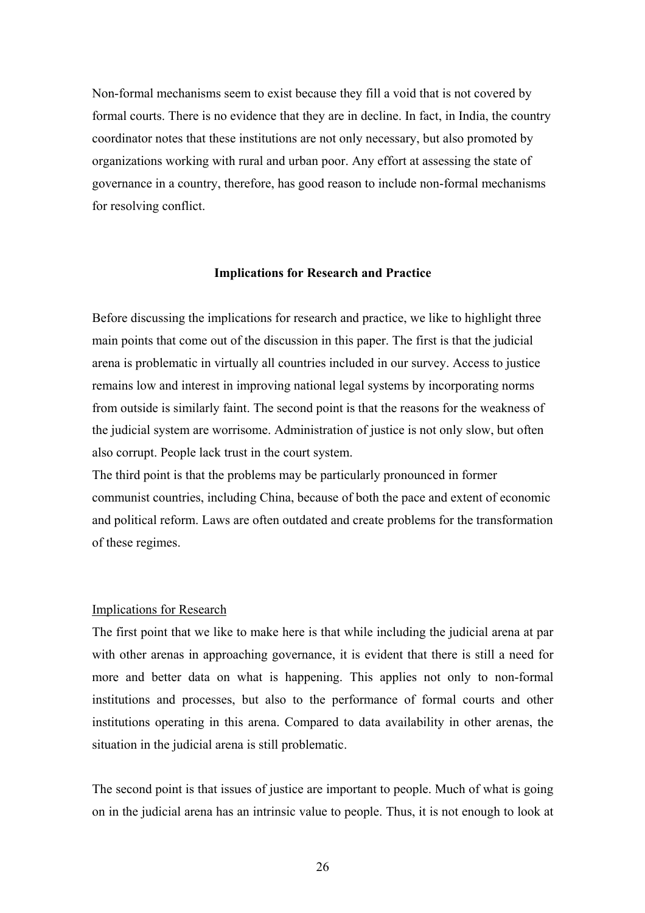Non-formal mechanisms seem to exist because they fill a void that is not covered by formal courts. There is no evidence that they are in decline. In fact, in India, the country coordinator notes that these institutions are not only necessary, but also promoted by organizations working with rural and urban poor. Any effort at assessing the state of governance in a country, therefore, has good reason to include non-formal mechanisms for resolving conflict.

#### **Implications for Research and Practice**

Before discussing the implications for research and practice, we like to highlight three main points that come out of the discussion in this paper. The first is that the judicial arena is problematic in virtually all countries included in our survey. Access to justice remains low and interest in improving national legal systems by incorporating norms from outside is similarly faint. The second point is that the reasons for the weakness of the judicial system are worrisome. Administration of justice is not only slow, but often also corrupt. People lack trust in the court system.

The third point is that the problems may be particularly pronounced in former communist countries, including China, because of both the pace and extent of economic and political reform. Laws are often outdated and create problems for the transformation of these regimes.

#### Implications for Research

The first point that we like to make here is that while including the judicial arena at par with other arenas in approaching governance, it is evident that there is still a need for more and better data on what is happening. This applies not only to non-formal institutions and processes, but also to the performance of formal courts and other institutions operating in this arena. Compared to data availability in other arenas, the situation in the judicial arena is still problematic.

The second point is that issues of justice are important to people. Much of what is going on in the judicial arena has an intrinsic value to people. Thus, it is not enough to look at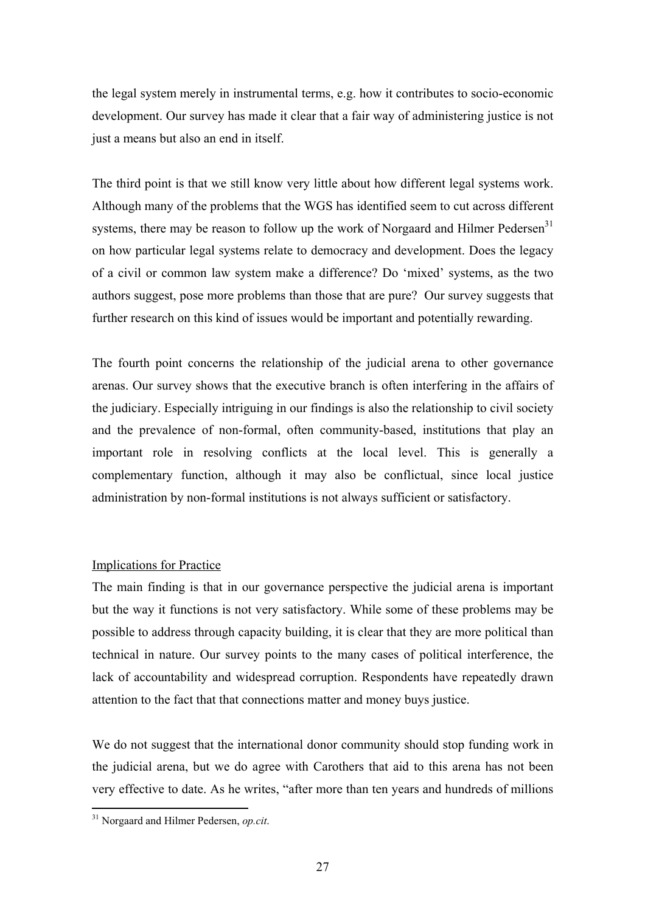the legal system merely in instrumental terms, e.g. how it contributes to socio-economic development. Our survey has made it clear that a fair way of administering justice is not just a means but also an end in itself.

The third point is that we still know very little about how different legal systems work. Although many of the problems that the WGS has identified seem to cut across different systems, there may be reason to follow up the work of Norgaard and Hilmer Pedersen<sup>31</sup> on how particular legal systems relate to democracy and development. Does the legacy of a civil or common law system make a difference? Do 'mixed' systems, as the two authors suggest, pose more problems than those that are pure? Our survey suggests that further research on this kind of issues would be important and potentially rewarding.

The fourth point concerns the relationship of the judicial arena to other governance arenas. Our survey shows that the executive branch is often interfering in the affairs of the judiciary. Especially intriguing in our findings is also the relationship to civil society and the prevalence of non-formal, often community-based, institutions that play an important role in resolving conflicts at the local level. This is generally a complementary function, although it may also be conflictual, since local justice administration by non-formal institutions is not always sufficient or satisfactory.

# Implications for Practice

The main finding is that in our governance perspective the judicial arena is important but the way it functions is not very satisfactory. While some of these problems may be possible to address through capacity building, it is clear that they are more political than technical in nature. Our survey points to the many cases of political interference, the lack of accountability and widespread corruption. Respondents have repeatedly drawn attention to the fact that that connections matter and money buys justice.

We do not suggest that the international donor community should stop funding work in the judicial arena, but we do agree with Carothers that aid to this arena has not been very effective to date. As he writes, "after more than ten years and hundreds of millions

<span id="page-26-0"></span><sup>31</sup> Norgaard and Hilmer Pedersen, *op.cit*.